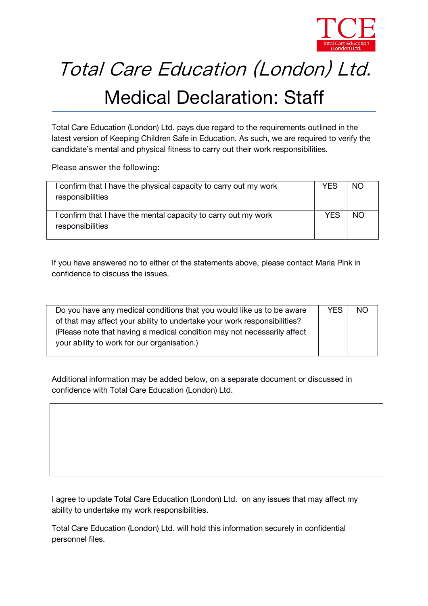

## Total Care Education (London) Ltd.

## Medical Declaration: Staff

*Total Care Education (London) Ltd.* pays due regard to the requirements outlined in the latest version of *Keeping Children Safe in Education.* As such, we are required to verify the candidate's mental and physical fitness to carry out their work responsibilities.

**Please answer the following:**

| I confirm that I have the physical capacity to carry out my work<br>responsibilities | YES | NO.       |  |
|--------------------------------------------------------------------------------------|-----|-----------|--|
| I confirm that I have the mental capacity to carry out my work<br>responsibilities   | YES | <b>NO</b> |  |

If you have answered no to either of the statements above, please contact *Maria Pink* in confidence to discuss the issues.

| Do you have any medical conditions that you would like us to be aware    | YES. | <b>NO</b> |
|--------------------------------------------------------------------------|------|-----------|
| of that may affect your ability to undertake your work responsibilities? |      |           |
| (Please note that having a medical condition may not necessarily affect  |      |           |
| your ability to work for our organisation.)                              |      |           |
|                                                                          |      |           |

Additional information may be added below, on a separate document or discussed in confidence with *Total Care Education (London) Ltd.*

I agree to update *Total Care Education (London) Ltd.* on any issues that may affect my ability to undertake my work responsibilities.

*Total Care Education (London) Ltd.* will hold this information securely in confidential personnel files.